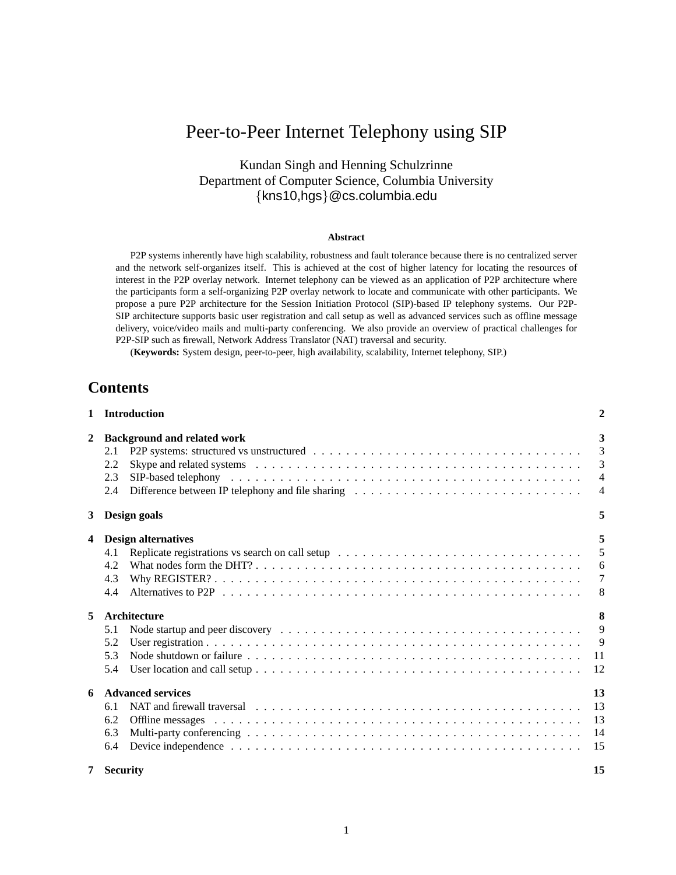# Peer-to-Peer Internet Telephony using SIP

## Kundan Singh and Henning Schulzrinne Department of Computer Science, Columbia University {kns10,hgs}@cs.columbia.edu

#### **Abstract**

P2P systems inherently have high scalability, robustness and fault tolerance because there is no centralized server and the network self-organizes itself. This is achieved at the cost of higher latency for locating the resources of interest in the P2P overlay network. Internet telephony can be viewed as an application of P2P architecture where the participants form a self-organizing P2P overlay network to locate and communicate with other participants. We propose a pure P2P architecture for the Session Initiation Protocol (SIP)-based IP telephony systems. Our P2P-SIP architecture supports basic user registration and call setup as well as advanced services such as offline message delivery, voice/video mails and multi-party conferencing. We also provide an overview of practical challenges for P2P-SIP such as firewall, Network Address Translator (NAT) traversal and security.

(**Keywords:** System design, peer-to-peer, high availability, scalability, Internet telephony, SIP.)

## **Contents**

|              | 1 Introduction                                                                                                               | $\overline{\mathbf{2}}$ |  |  |  |  |
|--------------|------------------------------------------------------------------------------------------------------------------------------|-------------------------|--|--|--|--|
| $\mathbf{2}$ | <b>Background and related work</b>                                                                                           | 3                       |  |  |  |  |
|              | 2.1                                                                                                                          | $\overline{3}$          |  |  |  |  |
|              | 2.2                                                                                                                          | $\overline{3}$          |  |  |  |  |
|              | 2.3                                                                                                                          | $\overline{4}$          |  |  |  |  |
|              | 2.4                                                                                                                          | $\overline{4}$          |  |  |  |  |
| $3^{\circ}$  | Design goals                                                                                                                 | 5                       |  |  |  |  |
| 4            | <b>Design alternatives</b>                                                                                                   | 5                       |  |  |  |  |
|              | 4.1                                                                                                                          | 5                       |  |  |  |  |
|              | 4.2                                                                                                                          | 6                       |  |  |  |  |
|              | 4.3                                                                                                                          | $\overline{7}$          |  |  |  |  |
|              | 4.4                                                                                                                          | 8                       |  |  |  |  |
| 5            | 8<br>Architecture                                                                                                            |                         |  |  |  |  |
|              | 5.1                                                                                                                          | 9                       |  |  |  |  |
|              | 5.2                                                                                                                          | 9                       |  |  |  |  |
|              | 5.3<br>Node shutdown or failure $\ldots \ldots \ldots \ldots \ldots \ldots \ldots \ldots \ldots \ldots \ldots \ldots \ldots$ | 11                      |  |  |  |  |
|              | 5.4                                                                                                                          | 12                      |  |  |  |  |
| 6            | <b>Advanced services</b>                                                                                                     | 13                      |  |  |  |  |
|              | 6.1                                                                                                                          | -13                     |  |  |  |  |
|              | 6.2                                                                                                                          | -13                     |  |  |  |  |
|              | 6.3                                                                                                                          | 14                      |  |  |  |  |
|              | 6.4                                                                                                                          | -15                     |  |  |  |  |
| 7            | <b>Security</b>                                                                                                              | 15                      |  |  |  |  |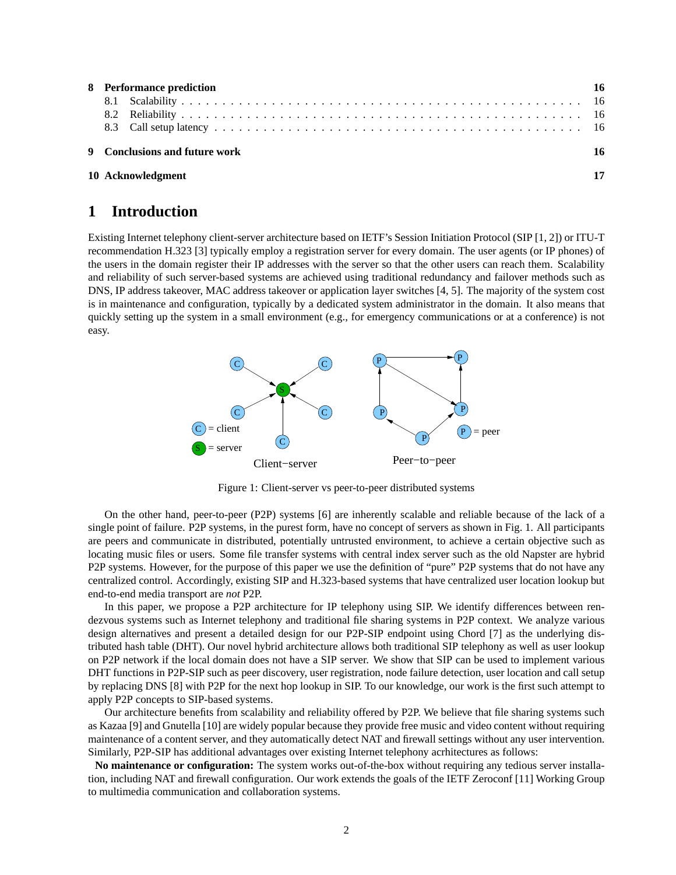| 8 Performance prediction |                               |    |  |  |
|--------------------------|-------------------------------|----|--|--|
|                          |                               |    |  |  |
|                          |                               |    |  |  |
|                          |                               |    |  |  |
|                          | 9 Conclusions and future work | 16 |  |  |
|                          | 10 Acknowledgment             | 17 |  |  |

## **1 Introduction**

Existing Internet telephony client-server architecture based on IETF's Session Initiation Protocol (SIP [1, 2]) or ITU-T recommendation H.323 [3] typically employ a registration server for every domain. The user agents (or IP phones) of the users in the domain register their IP addresses with the server so that the other users can reach them. Scalability and reliability of such server-based systems are achieved using traditional redundancy and failover methods such as DNS, IP address takeover, MAC address takeover or application layer switches [4, 5]. The majority of the system cost is in maintenance and configuration, typically by a dedicated system administrator in the domain. It also means that quickly setting up the system in a small environment (e.g., for emergency communications or at a conference) is not easy.



Figure 1: Client-server vs peer-to-peer distributed systems

On the other hand, peer-to-peer (P2P) systems [6] are inherently scalable and reliable because of the lack of a single point of failure. P2P systems, in the purest form, have no concept of servers as shown in Fig. 1. All participants are peers and communicate in distributed, potentially untrusted environment, to achieve a certain objective such as locating music files or users. Some file transfer systems with central index server such as the old Napster are hybrid P2P systems. However, for the purpose of this paper we use the definition of "pure" P2P systems that do not have any centralized control. Accordingly, existing SIP and H.323-based systems that have centralized user location lookup but end-to-end media transport are *not* P2P.

In this paper, we propose a P2P architecture for IP telephony using SIP. We identify differences between rendezvous systems such as Internet telephony and traditional file sharing systems in P2P context. We analyze various design alternatives and present a detailed design for our P2P-SIP endpoint using Chord [7] as the underlying distributed hash table (DHT). Our novel hybrid architecture allows both traditional SIP telephony as well as user lookup on P2P network if the local domain does not have a SIP server. We show that SIP can be used to implement various DHT functions in P2P-SIP such as peer discovery, user registration, node failure detection, user location and call setup by replacing DNS [8] with P2P for the next hop lookup in SIP. To our knowledge, our work is the first such attempt to apply P2P concepts to SIP-based systems.

Our architecture benefits from scalability and reliability offered by P2P. We believe that file sharing systems such as Kazaa [9] and Gnutella [10] are widely popular because they provide free music and video content without requiring maintenance of a content server, and they automatically detect NAT and firewall settings without any user intervention. Similarly, P2P-SIP has additional advantages over existing Internet telephony acrhitectures as follows:

**No maintenance or configuration:** The system works out-of-the-box without requiring any tedious server installation, including NAT and firewall configuration. Our work extends the goals of the IETF Zeroconf [11] Working Group to multimedia communication and collaboration systems.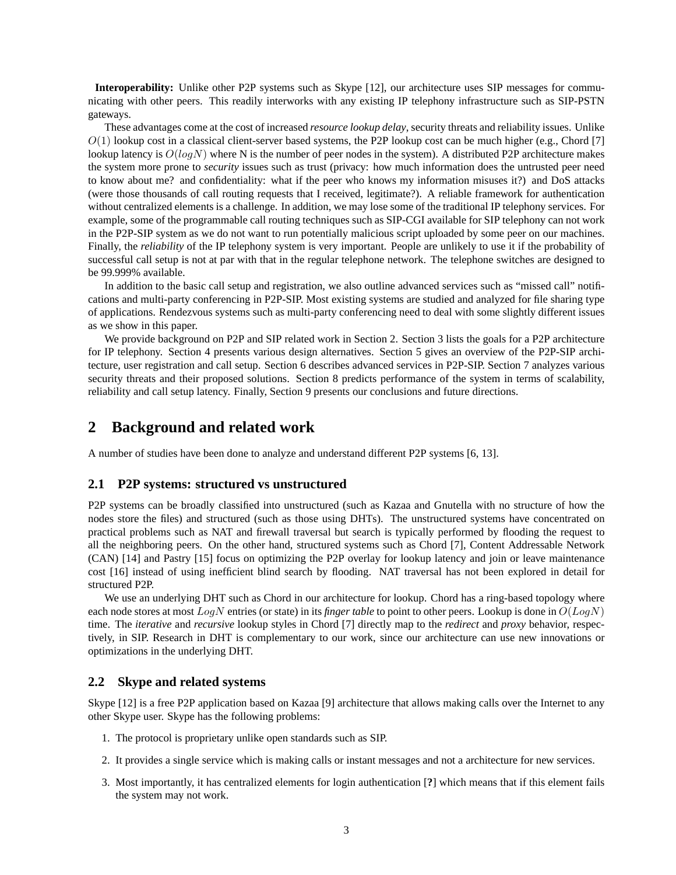**Interoperability:** Unlike other P2P systems such as Skype [12], our architecture uses SIP messages for communicating with other peers. This readily interworks with any existing IP telephony infrastructure such as SIP-PSTN gateways.

These advantages come at the cost of increased *resource lookup delay*, security threats and reliability issues. Unlike  $O(1)$  lookup cost in a classical client-server based systems, the P2P lookup cost can be much higher (e.g., Chord [7] lookup latency is  $O(logN)$  where N is the number of peer nodes in the system). A distributed P2P architecture makes the system more prone to *security* issues such as trust (privacy: how much information does the untrusted peer need to know about me? and confidentiality: what if the peer who knows my information misuses it?) and DoS attacks (were those thousands of call routing requests that I received, legitimate?). A reliable framework for authentication without centralized elements is a challenge. In addition, we may lose some of the traditional IP telephony services. For example, some of the programmable call routing techniques such as SIP-CGI available for SIP telephony can not work in the P2P-SIP system as we do not want to run potentially malicious script uploaded by some peer on our machines. Finally, the *reliability* of the IP telephony system is very important. People are unlikely to use it if the probability of successful call setup is not at par with that in the regular telephone network. The telephone switches are designed to be 99.999% available.

In addition to the basic call setup and registration, we also outline advanced services such as "missed call" notifications and multi-party conferencing in P2P-SIP. Most existing systems are studied and analyzed for file sharing type of applications. Rendezvous systems such as multi-party conferencing need to deal with some slightly different issues as we show in this paper.

We provide background on P2P and SIP related work in Section 2. Section 3 lists the goals for a P2P architecture for IP telephony. Section 4 presents various design alternatives. Section 5 gives an overview of the P2P-SIP architecture, user registration and call setup. Section 6 describes advanced services in P2P-SIP. Section 7 analyzes various security threats and their proposed solutions. Section 8 predicts performance of the system in terms of scalability, reliability and call setup latency. Finally, Section 9 presents our conclusions and future directions.

## **2 Background and related work**

A number of studies have been done to analyze and understand different P2P systems [6, 13].

#### **2.1 P2P systems: structured vs unstructured**

P2P systems can be broadly classified into unstructured (such as Kazaa and Gnutella with no structure of how the nodes store the files) and structured (such as those using DHTs). The unstructured systems have concentrated on practical problems such as NAT and firewall traversal but search is typically performed by flooding the request to all the neighboring peers. On the other hand, structured systems such as Chord [7], Content Addressable Network (CAN) [14] and Pastry [15] focus on optimizing the P2P overlay for lookup latency and join or leave maintenance cost [16] instead of using inefficient blind search by flooding. NAT traversal has not been explored in detail for structured P2P.

We use an underlying DHT such as Chord in our architecture for lookup. Chord has a ring-based topology where each node stores at most LogN entries (or state) in its *finger table* to point to other peers. Lookup is done in O(LogN) time. The *iterative* and *recursive* lookup styles in Chord [7] directly map to the *redirect* and *proxy* behavior, respectively, in SIP. Research in DHT is complementary to our work, since our architecture can use new innovations or optimizations in the underlying DHT.

#### **2.2 Skype and related systems**

Skype [12] is a free P2P application based on Kazaa [9] architecture that allows making calls over the Internet to any other Skype user. Skype has the following problems:

- 1. The protocol is proprietary unlike open standards such as SIP.
- 2. It provides a single service which is making calls or instant messages and not a architecture for new services.
- 3. Most importantly, it has centralized elements for login authentication [**?**] which means that if this element fails the system may not work.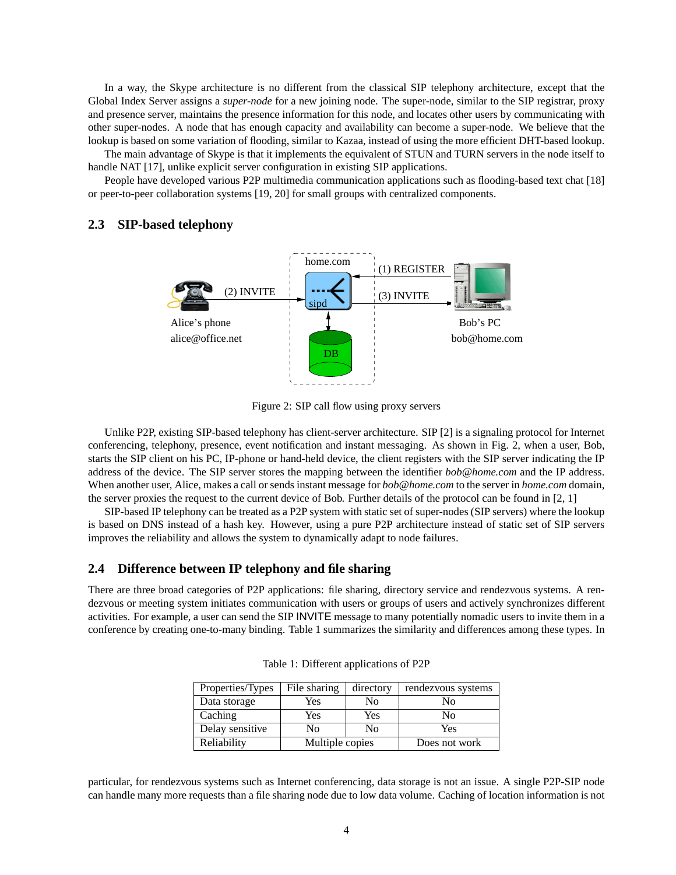In a way, the Skype architecture is no different from the classical SIP telephony architecture, except that the Global Index Server assigns a *super-node* for a new joining node. The super-node, similar to the SIP registrar, proxy and presence server, maintains the presence information for this node, and locates other users by communicating with other super-nodes. A node that has enough capacity and availability can become a super-node. We believe that the lookup is based on some variation of flooding, similar to Kazaa, instead of using the more efficient DHT-based lookup.

The main advantage of Skype is that it implements the equivalent of STUN and TURN servers in the node itself to handle NAT [17], unlike explicit server configuration in existing SIP applications.

People have developed various P2P multimedia communication applications such as flooding-based text chat [18] or peer-to-peer collaboration systems [19, 20] for small groups with centralized components.

#### **2.3 SIP-based telephony**



Figure 2: SIP call flow using proxy servers

Unlike P2P, existing SIP-based telephony has client-server architecture. SIP [2] is a signaling protocol for Internet conferencing, telephony, presence, event notification and instant messaging. As shown in Fig. 2, when a user, Bob, starts the SIP client on his PC, IP-phone or hand-held device, the client registers with the SIP server indicating the IP address of the device. The SIP server stores the mapping between the identifier *bob@home.com* and the IP address. When another user, Alice, makes a call or sends instant message for *bob@home.com* to the server in *home.com* domain, the server proxies the request to the current device of Bob. Further details of the protocol can be found in [2, 1]

SIP-based IP telephony can be treated as a P2P system with static set of super-nodes (SIP servers) where the lookup is based on DNS instead of a hash key. However, using a pure P2P architecture instead of static set of SIP servers improves the reliability and allows the system to dynamically adapt to node failures.

#### **2.4 Difference between IP telephony and file sharing**

There are three broad categories of P2P applications: file sharing, directory service and rendezvous systems. A rendezvous or meeting system initiates communication with users or groups of users and actively synchronizes different activities. For example, a user can send the SIP INVITE message to many potentially nomadic users to invite them in a conference by creating one-to-many binding. Table 1 summarizes the similarity and differences among these types. In

| Properties/Types | File sharing    | directory | rendezvous systems |
|------------------|-----------------|-----------|--------------------|
| Data storage     | Yes             | No        | Nο                 |
| Caching          | Yes             | Yes       | No                 |
| Delay sensitive  | No              | No        | Yes                |
| Reliability      | Multiple copies |           | Does not work      |

Table 1: Different applications of P2P

particular, for rendezvous systems such as Internet conferencing, data storage is not an issue. A single P2P-SIP node can handle many more requests than a file sharing node due to low data volume. Caching of location information is not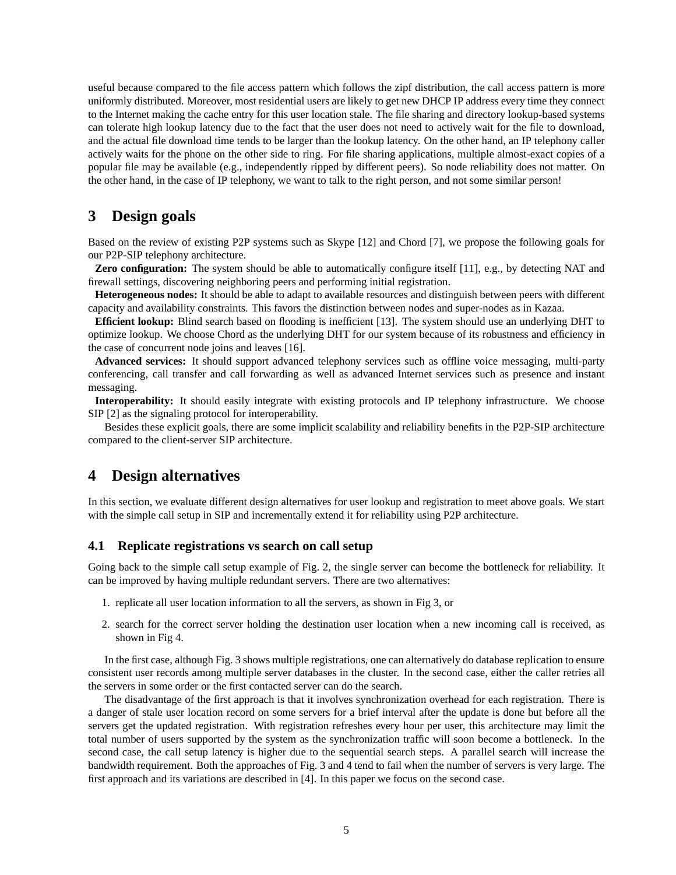useful because compared to the file access pattern which follows the zipf distribution, the call access pattern is more uniformly distributed. Moreover, most residential users are likely to get new DHCP IP address every time they connect to the Internet making the cache entry for this user location stale. The file sharing and directory lookup-based systems can tolerate high lookup latency due to the fact that the user does not need to actively wait for the file to download, and the actual file download time tends to be larger than the lookup latency. On the other hand, an IP telephony caller actively waits for the phone on the other side to ring. For file sharing applications, multiple almost-exact copies of a popular file may be available (e.g., independently ripped by different peers). So node reliability does not matter. On the other hand, in the case of IP telephony, we want to talk to the right person, and not some similar person!

## **3 Design goals**

Based on the review of existing P2P systems such as Skype [12] and Chord [7], we propose the following goals for our P2P-SIP telephony architecture.

**Zero configuration:** The system should be able to automatically configure itself [11], e.g., by detecting NAT and firewall settings, discovering neighboring peers and performing initial registration.

**Heterogeneous nodes:** It should be able to adapt to available resources and distinguish between peers with different capacity and availability constraints. This favors the distinction between nodes and super-nodes as in Kazaa.

**Efficient lookup:** Blind search based on flooding is inefficient [13]. The system should use an underlying DHT to optimize lookup. We choose Chord as the underlying DHT for our system because of its robustness and efficiency in the case of concurrent node joins and leaves [16].

**Advanced services:** It should support advanced telephony services such as offline voice messaging, multi-party conferencing, call transfer and call forwarding as well as advanced Internet services such as presence and instant messaging.

**Interoperability:** It should easily integrate with existing protocols and IP telephony infrastructure. We choose SIP [2] as the signaling protocol for interoperability.

Besides these explicit goals, there are some implicit scalability and reliability benefits in the P2P-SIP architecture compared to the client-server SIP architecture.

## **4 Design alternatives**

In this section, we evaluate different design alternatives for user lookup and registration to meet above goals. We start with the simple call setup in SIP and incrementally extend it for reliability using P2P architecture.

### **4.1 Replicate registrations vs search on call setup**

Going back to the simple call setup example of Fig. 2, the single server can become the bottleneck for reliability. It can be improved by having multiple redundant servers. There are two alternatives:

- 1. replicate all user location information to all the servers, as shown in Fig 3, or
- 2. search for the correct server holding the destination user location when a new incoming call is received, as shown in Fig 4.

In the first case, although Fig. 3 shows multiple registrations, one can alternatively do database replication to ensure consistent user records among multiple server databases in the cluster. In the second case, either the caller retries all the servers in some order or the first contacted server can do the search.

The disadvantage of the first approach is that it involves synchronization overhead for each registration. There is a danger of stale user location record on some servers for a brief interval after the update is done but before all the servers get the updated registration. With registration refreshes every hour per user, this architecture may limit the total number of users supported by the system as the synchronization traffic will soon become a bottleneck. In the second case, the call setup latency is higher due to the sequential search steps. A parallel search will increase the bandwidth requirement. Both the approaches of Fig. 3 and 4 tend to fail when the number of servers is very large. The first approach and its variations are described in [4]. In this paper we focus on the second case.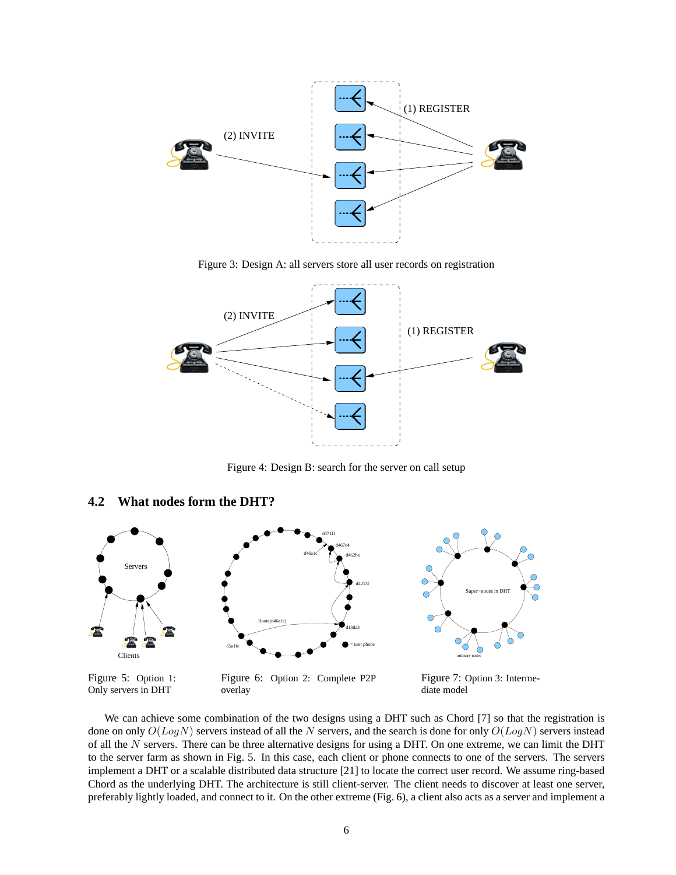

Figure 3: Design A: all servers store all user records on registration



Figure 4: Design B: search for the server on call setup

#### **4.2 What nodes form the DHT?**



Figure 5: Option 1: Only servers in DHT

Figure 6: Option 2: Complete P2P overlay

Figure 7: Option 3: Intermediate model

We can achieve some combination of the two designs using a DHT such as Chord [7] so that the registration is done on only  $O(LogN)$  servers instead of all the N servers, and the search is done for only  $O(LogN)$  servers instead of all the  $N$  servers. There can be three alternative designs for using a DHT. On one extreme, we can limit the DHT to the server farm as shown in Fig. 5. In this case, each client or phone connects to one of the servers. The servers implement a DHT or a scalable distributed data structure [21] to locate the correct user record. We assume ring-based Chord as the underlying DHT. The architecture is still client-server. The client needs to discover at least one server, preferably lightly loaded, and connect to it. On the other extreme (Fig. 6), a client also acts as a server and implement a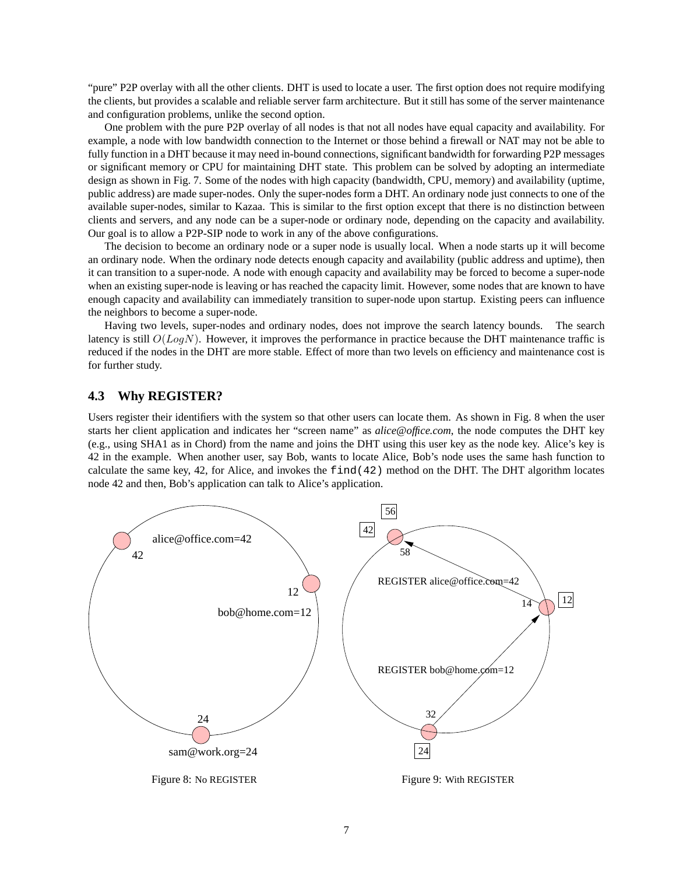"pure" P2P overlay with all the other clients. DHT is used to locate a user. The first option does not require modifying the clients, but provides a scalable and reliable server farm architecture. But it still has some of the server maintenance and configuration problems, unlike the second option.

One problem with the pure P2P overlay of all nodes is that not all nodes have equal capacity and availability. For example, a node with low bandwidth connection to the Internet or those behind a firewall or NAT may not be able to fully function in a DHT because it may need in-bound connections, significant bandwidth for forwarding P2P messages or significant memory or CPU for maintaining DHT state. This problem can be solved by adopting an intermediate design as shown in Fig. 7. Some of the nodes with high capacity (bandwidth, CPU, memory) and availability (uptime, public address) are made super-nodes. Only the super-nodes form a DHT. An ordinary node just connects to one of the available super-nodes, similar to Kazaa. This is similar to the first option except that there is no distinction between clients and servers, and any node can be a super-node or ordinary node, depending on the capacity and availability. Our goal is to allow a P2P-SIP node to work in any of the above configurations.

The decision to become an ordinary node or a super node is usually local. When a node starts up it will become an ordinary node. When the ordinary node detects enough capacity and availability (public address and uptime), then it can transition to a super-node. A node with enough capacity and availability may be forced to become a super-node when an existing super-node is leaving or has reached the capacity limit. However, some nodes that are known to have enough capacity and availability can immediately transition to super-node upon startup. Existing peers can influence the neighbors to become a super-node.

Having two levels, super-nodes and ordinary nodes, does not improve the search latency bounds. The search latency is still  $O(LogN)$ . However, it improves the performance in practice because the DHT maintenance traffic is reduced if the nodes in the DHT are more stable. Effect of more than two levels on efficiency and maintenance cost is for further study.

## **4.3 Why REGISTER?**

Users register their identifiers with the system so that other users can locate them. As shown in Fig. 8 when the user starts her client application and indicates her "screen name" as *alice@office.com*, the node computes the DHT key (e.g., using SHA1 as in Chord) from the name and joins the DHT using this user key as the node key. Alice's key is 42 in the example. When another user, say Bob, wants to locate Alice, Bob's node uses the same hash function to calculate the same key, 42, for Alice, and invokes the find(42) method on the DHT. The DHT algorithm locates node 42 and then, Bob's application can talk to Alice's application.

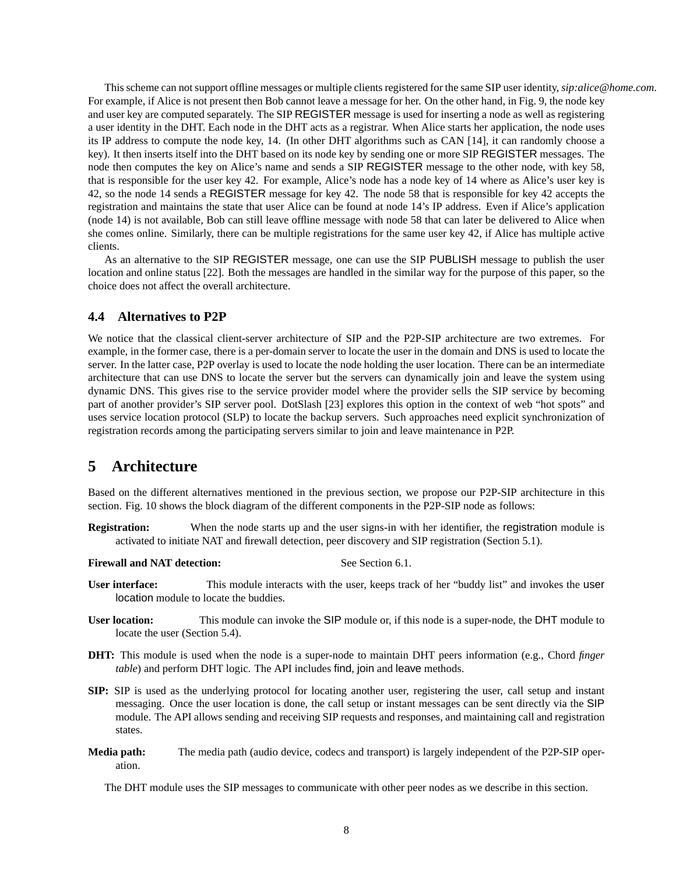This scheme can not support offline messages or multiple clients registered for the same SIP user identity,*sip:alice@home.com*. For example, if Alice is not present then Bob cannot leave a message for her. On the other hand, in Fig. 9, the node key and user key are computed separately. The SIP REGISTER message is used for inserting a node as well as registering a user identity in the DHT. Each node in the DHT acts as a registrar. When Alice starts her application, the node uses its IP address to compute the node key, 14. (In other DHT algorithms such as CAN [14], it can randomly choose a key). It then inserts itself into the DHT based on its node key by sending one or more SIP REGISTER messages. The node then computes the key on Alice's name and sends a SIP REGISTER message to the other node, with key 58, that is responsible for the user key 42. For example, Alice's node has a node key of 14 where as Alice's user key is 42, so the node 14 sends a REGISTER message for key 42. The node 58 that is responsible for key 42 accepts the registration and maintains the state that user Alice can be found at node 14's IP address. Even if Alice's application (node 14) is not available, Bob can still leave offline message with node 58 that can later be delivered to Alice when she comes online. Similarly, there can be multiple registrations for the same user key 42, if Alice has multiple active clients.

As an alternative to the SIP REGISTER message, one can use the SIP PUBLISH message to publish the user location and online status [22]. Both the messages are handled in the similar way for the purpose of this paper, so the choice does not affect the overall architecture.

#### **4.4 Alternatives to P2P**

We notice that the classical client-server architecture of SIP and the P2P-SIP architecture are two extremes. For example, in the former case, there is a per-domain server to locate the user in the domain and DNS is used to locate the server. In the latter case, P2P overlay is used to locate the node holding the user location. There can be an intermediate architecture that can use DNS to locate the server but the servers can dynamically join and leave the system using dynamic DNS. This gives rise to the service provider model where the provider sells the SIP service by becoming part of another provider's SIP server pool. DotSlash [23] explores this option in the context of web "hot spots" and uses service location protocol (SLP) to locate the backup servers. Such approaches need explicit synchronization of registration records among the participating servers similar to join and leave maintenance in P2P.

## **5 Architecture**

Based on the different alternatives mentioned in the previous section, we propose our P2P-SIP architecture in this section. Fig. 10 shows the block diagram of the different components in the P2P-SIP node as follows:

**Registration:** When the node starts up and the user signs-in with her identifier, the registration module is activated to initiate NAT and firewall detection, peer discovery and SIP registration (Section 5.1).

**Firewall and NAT detection:** See Section 6.1.

- **User interface:** This module interacts with the user, keeps track of her "buddy list" and invokes the user location module to locate the buddies.
- **User location:** This module can invoke the SIP module or, if this node is a super-node, the DHT module to locate the user (Section 5.4).
- **DHT:** This module is used when the node is a super-node to maintain DHT peers information (e.g., Chord *finger table*) and perform DHT logic. The API includes find, join and leave methods.
- **SIP:** SIP is used as the underlying protocol for locating another user, registering the user, call setup and instant messaging. Once the user location is done, the call setup or instant messages can be sent directly via the SIP module. The API allows sending and receiving SIP requests and responses, and maintaining call and registration states.
- **Media path:** The media path (audio device, codecs and transport) is largely independent of the P2P-SIP operation.

The DHT module uses the SIP messages to communicate with other peer nodes as we describe in this section.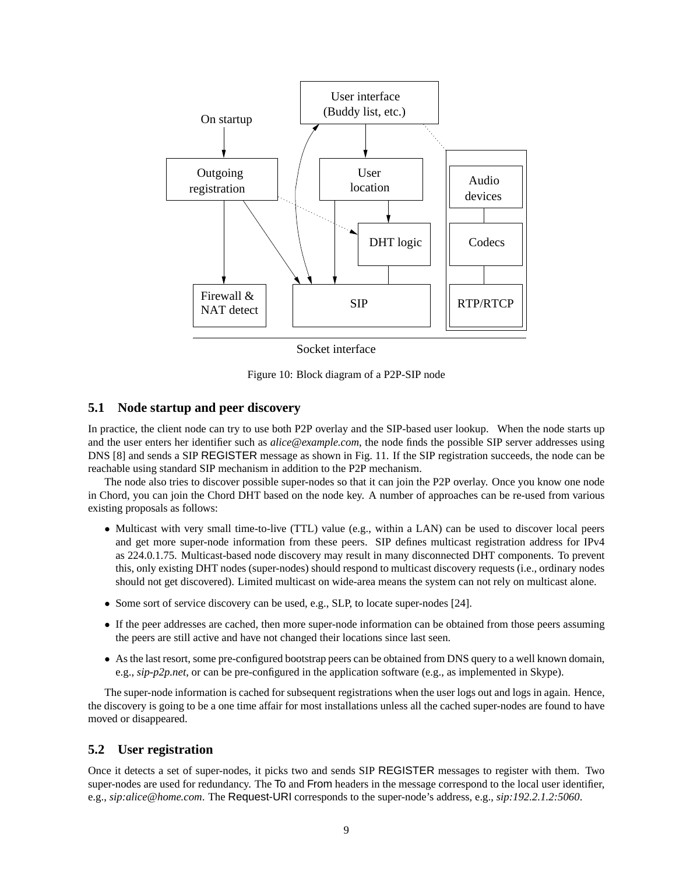

Socket interface

Figure 10: Block diagram of a P2P-SIP node

#### **5.1 Node startup and peer discovery**

In practice, the client node can try to use both P2P overlay and the SIP-based user lookup. When the node starts up and the user enters her identifier such as *alice@example.com*, the node finds the possible SIP server addresses using DNS [8] and sends a SIP REGISTER message as shown in Fig. 11. If the SIP registration succeeds, the node can be reachable using standard SIP mechanism in addition to the P2P mechanism.

The node also tries to discover possible super-nodes so that it can join the P2P overlay. Once you know one node in Chord, you can join the Chord DHT based on the node key. A number of approaches can be re-used from various existing proposals as follows:

- Multicast with very small time-to-live (TTL) value (e.g., within a LAN) can be used to discover local peers and get more super-node information from these peers. SIP defines multicast registration address for IPv4 as 224.0.1.75. Multicast-based node discovery may result in many disconnected DHT components. To prevent this, only existing DHT nodes (super-nodes) should respond to multicast discovery requests (i.e., ordinary nodes should not get discovered). Limited multicast on wide-area means the system can not rely on multicast alone.
- Some sort of service discovery can be used, e.g., SLP, to locate super-nodes [24].
- If the peer addresses are cached, then more super-node information can be obtained from those peers assuming the peers are still active and have not changed their locations since last seen.
- As the last resort, some pre-configured bootstrap peers can be obtained from DNS query to a well known domain, e.g., *sip-p2p.net*, or can be pre-configured in the application software (e.g., as implemented in Skype).

The super-node information is cached for subsequent registrations when the user logs out and logs in again. Hence, the discovery is going to be a one time affair for most installations unless all the cached super-nodes are found to have moved or disappeared.

#### **5.2 User registration**

Once it detects a set of super-nodes, it picks two and sends SIP REGISTER messages to register with them. Two super-nodes are used for redundancy. The To and From headers in the message correspond to the local user identifier, e.g., *sip:alice@home.com*. The Request-URI corresponds to the super-node's address, e.g., *sip:192.2.1.2:5060*.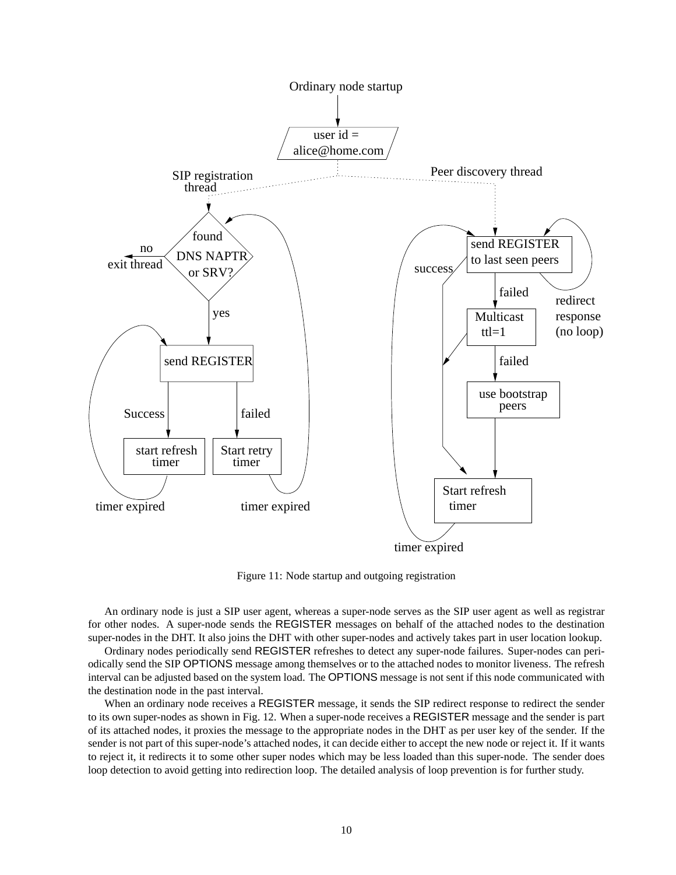

Figure 11: Node startup and outgoing registration

An ordinary node is just a SIP user agent, whereas a super-node serves as the SIP user agent as well as registrar for other nodes. A super-node sends the REGISTER messages on behalf of the attached nodes to the destination super-nodes in the DHT. It also joins the DHT with other super-nodes and actively takes part in user location lookup.

Ordinary nodes periodically send REGISTER refreshes to detect any super-node failures. Super-nodes can periodically send the SIP OPTIONS message among themselves or to the attached nodes to monitor liveness. The refresh interval can be adjusted based on the system load. The OPTIONS message is not sent if this node communicated with the destination node in the past interval.

When an ordinary node receives a REGISTER message, it sends the SIP redirect response to redirect the sender to its own super-nodes as shown in Fig. 12. When a super-node receives a REGISTER message and the sender is part of its attached nodes, it proxies the message to the appropriate nodes in the DHT as per user key of the sender. If the sender is not part of this super-node's attached nodes, it can decide either to accept the new node or reject it. If it wants to reject it, it redirects it to some other super nodes which may be less loaded than this super-node. The sender does loop detection to avoid getting into redirection loop. The detailed analysis of loop prevention is for further study.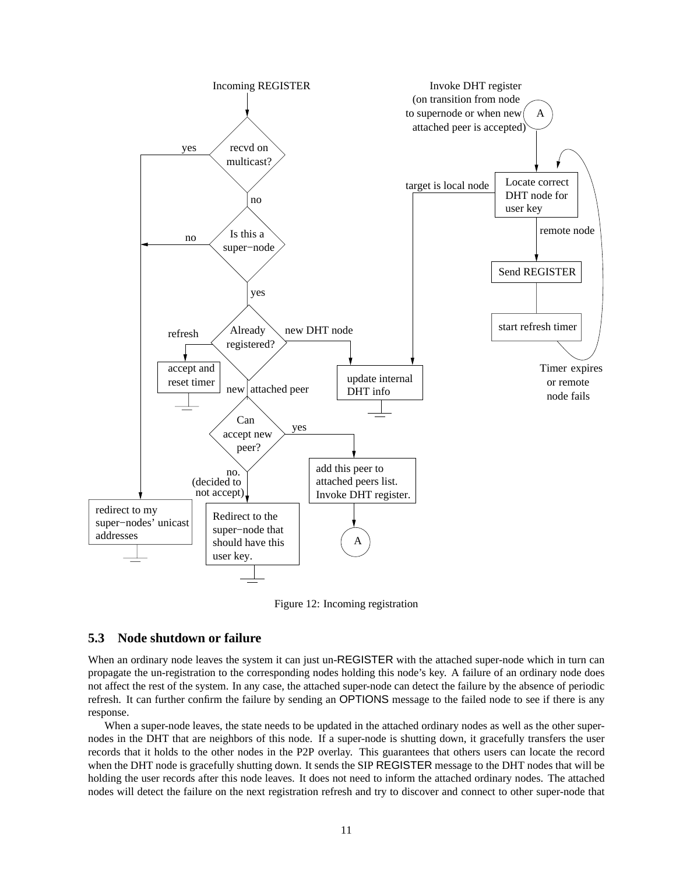

Figure 12: Incoming registration

#### **5.3 Node shutdown or failure**

When an ordinary node leaves the system it can just un-REGISTER with the attached super-node which in turn can propagate the un-registration to the corresponding nodes holding this node's key. A failure of an ordinary node does not affect the rest of the system. In any case, the attached super-node can detect the failure by the absence of periodic refresh. It can further confirm the failure by sending an OPTIONS message to the failed node to see if there is any response.

When a super-node leaves, the state needs to be updated in the attached ordinary nodes as well as the other supernodes in the DHT that are neighbors of this node. If a super-node is shutting down, it gracefully transfers the user records that it holds to the other nodes in the P2P overlay. This guarantees that others users can locate the record when the DHT node is gracefully shutting down. It sends the SIP REGISTER message to the DHT nodes that will be holding the user records after this node leaves. It does not need to inform the attached ordinary nodes. The attached nodes will detect the failure on the next registration refresh and try to discover and connect to other super-node that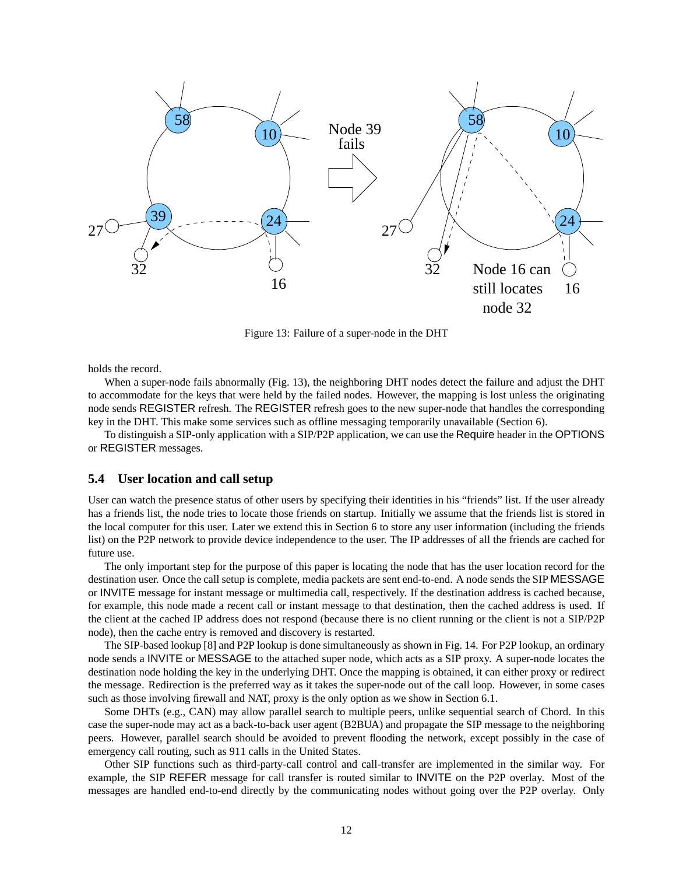

Figure 13: Failure of a super-node in the DHT

holds the record.

When a super-node fails abnormally (Fig. 13), the neighboring DHT nodes detect the failure and adjust the DHT to accommodate for the keys that were held by the failed nodes. However, the mapping is lost unless the originating node sends REGISTER refresh. The REGISTER refresh goes to the new super-node that handles the corresponding key in the DHT. This make some services such as offline messaging temporarily unavailable (Section 6).

To distinguish a SIP-only application with a SIP/P2P application, we can use the Require header in the OPTIONS or REGISTER messages.

#### **5.4 User location and call setup**

User can watch the presence status of other users by specifying their identities in his "friends" list. If the user already has a friends list, the node tries to locate those friends on startup. Initially we assume that the friends list is stored in the local computer for this user. Later we extend this in Section 6 to store any user information (including the friends list) on the P2P network to provide device independence to the user. The IP addresses of all the friends are cached for future use.

The only important step for the purpose of this paper is locating the node that has the user location record for the destination user. Once the call setup is complete, media packets are sent end-to-end. A node sends the SIP MESSAGE or INVITE message for instant message or multimedia call, respectively. If the destination address is cached because, for example, this node made a recent call or instant message to that destination, then the cached address is used. If the client at the cached IP address does not respond (because there is no client running or the client is not a SIP/P2P node), then the cache entry is removed and discovery is restarted.

The SIP-based lookup [8] and P2P lookup is done simultaneously as shown in Fig. 14. For P2P lookup, an ordinary node sends a INVITE or MESSAGE to the attached super node, which acts as a SIP proxy. A super-node locates the destination node holding the key in the underlying DHT. Once the mapping is obtained, it can either proxy or redirect the message. Redirection is the preferred way as it takes the super-node out of the call loop. However, in some cases such as those involving firewall and NAT, proxy is the only option as we show in Section 6.1.

Some DHTs (e.g., CAN) may allow parallel search to multiple peers, unlike sequential search of Chord. In this case the super-node may act as a back-to-back user agent (B2BUA) and propagate the SIP message to the neighboring peers. However, parallel search should be avoided to prevent flooding the network, except possibly in the case of emergency call routing, such as 911 calls in the United States.

Other SIP functions such as third-party-call control and call-transfer are implemented in the similar way. For example, the SIP REFER message for call transfer is routed similar to INVITE on the P2P overlay. Most of the messages are handled end-to-end directly by the communicating nodes without going over the P2P overlay. Only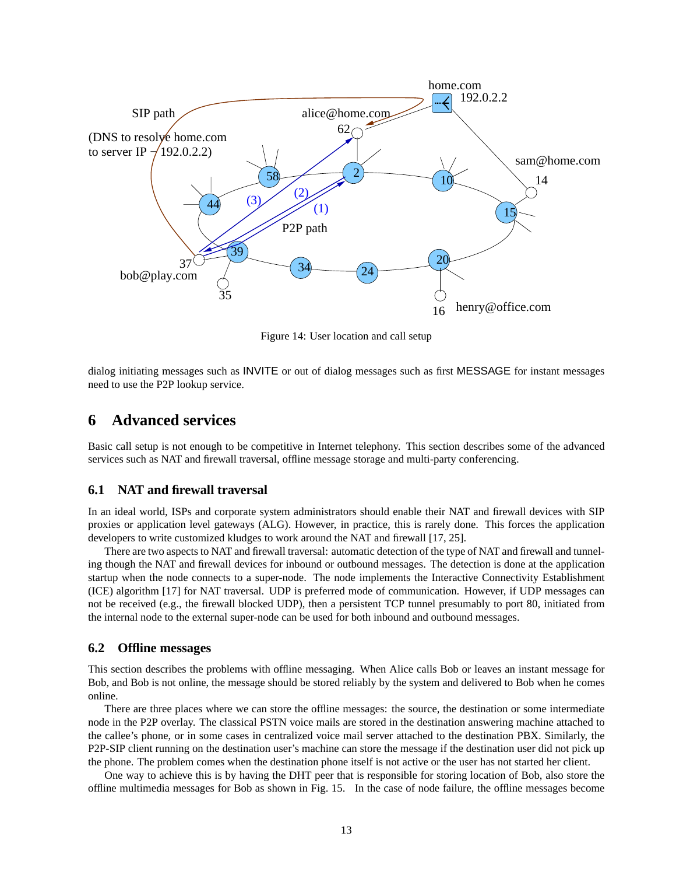

Figure 14: User location and call setup

dialog initiating messages such as INVITE or out of dialog messages such as first MESSAGE for instant messages need to use the P2P lookup service.

## **6 Advanced services**

Basic call setup is not enough to be competitive in Internet telephony. This section describes some of the advanced services such as NAT and firewall traversal, offline message storage and multi-party conferencing.

#### **6.1 NAT and firewall traversal**

In an ideal world, ISPs and corporate system administrators should enable their NAT and firewall devices with SIP proxies or application level gateways (ALG). However, in practice, this is rarely done. This forces the application developers to write customized kludges to work around the NAT and firewall [17, 25].

There are two aspects to NAT and firewall traversal: automatic detection of the type of NAT and firewall and tunneling though the NAT and firewall devices for inbound or outbound messages. The detection is done at the application startup when the node connects to a super-node. The node implements the Interactive Connectivity Establishment (ICE) algorithm [17] for NAT traversal. UDP is preferred mode of communication. However, if UDP messages can not be received (e.g., the firewall blocked UDP), then a persistent TCP tunnel presumably to port 80, initiated from the internal node to the external super-node can be used for both inbound and outbound messages.

#### **6.2 Offline messages**

This section describes the problems with offline messaging. When Alice calls Bob or leaves an instant message for Bob, and Bob is not online, the message should be stored reliably by the system and delivered to Bob when he comes online.

There are three places where we can store the offline messages: the source, the destination or some intermediate node in the P2P overlay. The classical PSTN voice mails are stored in the destination answering machine attached to the callee's phone, or in some cases in centralized voice mail server attached to the destination PBX. Similarly, the P2P-SIP client running on the destination user's machine can store the message if the destination user did not pick up the phone. The problem comes when the destination phone itself is not active or the user has not started her client.

One way to achieve this is by having the DHT peer that is responsible for storing location of Bob, also store the offline multimedia messages for Bob as shown in Fig. 15. In the case of node failure, the offline messages become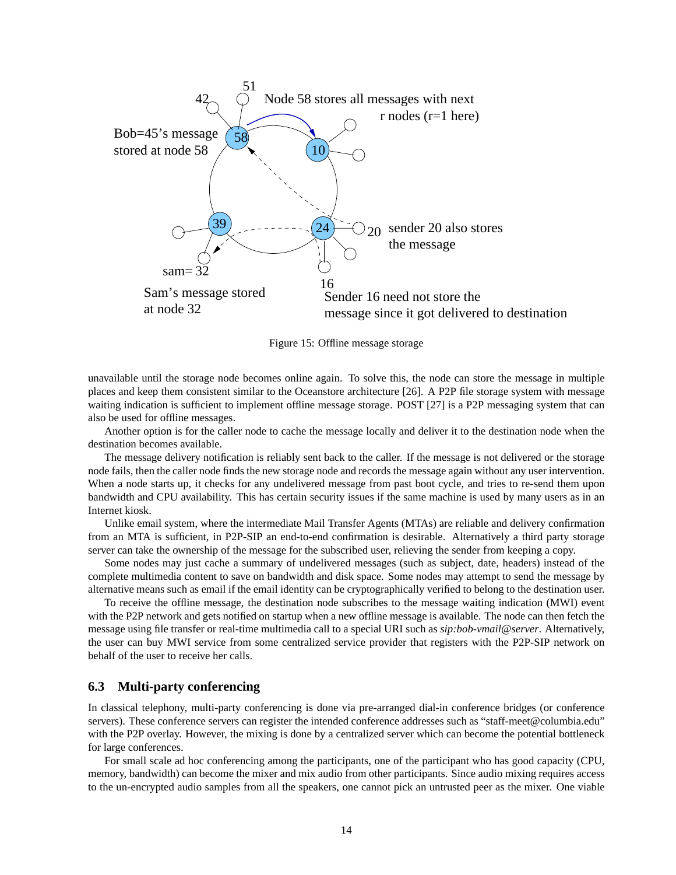

Figure 15: Offline message storage

unavailable until the storage node becomes online again. To solve this, the node can store the message in multiple places and keep them consistent similar to the Oceanstore architecture [26]. A P2P file storage system with message waiting indication is sufficient to implement offline message storage. POST [27] is a P2P messaging system that can also be used for offline messages.

Another option is for the caller node to cache the message locally and deliver it to the destination node when the destination becomes available.

The message delivery notification is reliably sent back to the caller. If the message is not delivered or the storage node fails, then the caller node finds the new storage node and records the message again without any user intervention. When a node starts up, it checks for any undelivered message from past boot cycle, and tries to re-send them upon bandwidth and CPU availability. This has certain security issues if the same machine is used by many users as in an Internet kiosk.

Unlike email system, where the intermediate Mail Transfer Agents (MTAs) are reliable and delivery confirmation from an MTA is sufficient, in P2P-SIP an end-to-end confirmation is desirable. Alternatively a third party storage server can take the ownership of the message for the subscribed user, relieving the sender from keeping a copy.

Some nodes may just cache a summary of undelivered messages (such as subject, date, headers) instead of the complete multimedia content to save on bandwidth and disk space. Some nodes may attempt to send the message by alternative means such as email if the email identity can be cryptographically verified to belong to the destination user.

To receive the offline message, the destination node subscribes to the message waiting indication (MWI) event with the P2P network and gets notified on startup when a new offline message is available. The node can then fetch the message using file transfer or real-time multimedia call to a special URI such as *sip:bob-vmail@server*. Alternatively, the user can buy MWI service from some centralized service provider that registers with the P2P-SIP network on behalf of the user to receive her calls.

### **6.3 Multi-party conferencing**

In classical telephony, multi-party conferencing is done via pre-arranged dial-in conference bridges (or conference servers). These conference servers can register the intended conference addresses such as "staff-meet@columbia.edu" with the P2P overlay. However, the mixing is done by a centralized server which can become the potential bottleneck for large conferences.

For small scale ad hoc conferencing among the participants, one of the participant who has good capacity (CPU, memory, bandwidth) can become the mixer and mix audio from other participants. Since audio mixing requires access to the un-encrypted audio samples from all the speakers, one cannot pick an untrusted peer as the mixer. One viable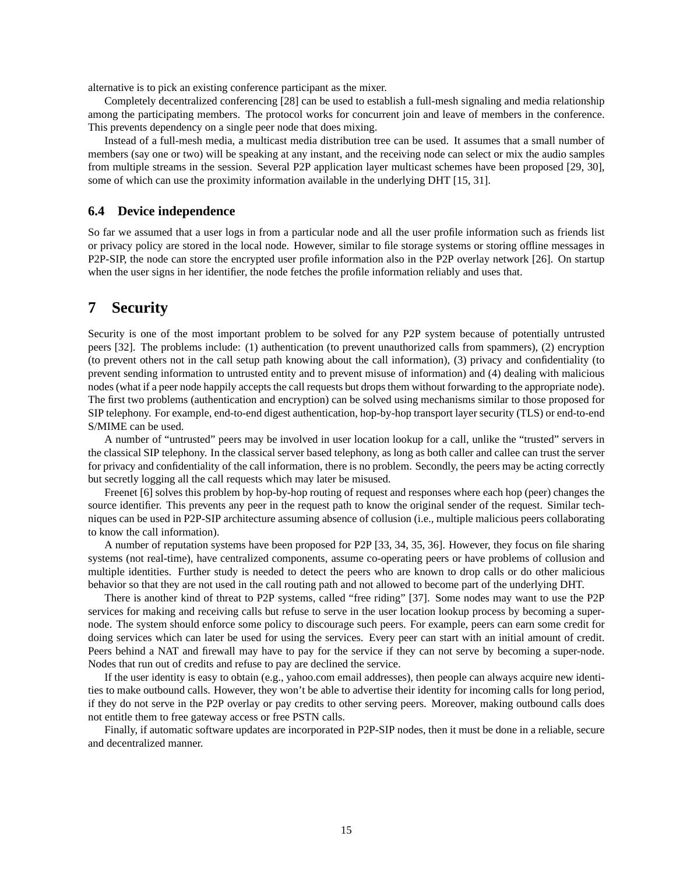alternative is to pick an existing conference participant as the mixer.

Completely decentralized conferencing [28] can be used to establish a full-mesh signaling and media relationship among the participating members. The protocol works for concurrent join and leave of members in the conference. This prevents dependency on a single peer node that does mixing.

Instead of a full-mesh media, a multicast media distribution tree can be used. It assumes that a small number of members (say one or two) will be speaking at any instant, and the receiving node can select or mix the audio samples from multiple streams in the session. Several P2P application layer multicast schemes have been proposed [29, 30], some of which can use the proximity information available in the underlying DHT [15, 31].

#### **6.4 Device independence**

So far we assumed that a user logs in from a particular node and all the user profile information such as friends list or privacy policy are stored in the local node. However, similar to file storage systems or storing offline messages in P2P-SIP, the node can store the encrypted user profile information also in the P2P overlay network [26]. On startup when the user signs in her identifier, the node fetches the profile information reliably and uses that.

## **7 Security**

Security is one of the most important problem to be solved for any P2P system because of potentially untrusted peers [32]. The problems include: (1) authentication (to prevent unauthorized calls from spammers), (2) encryption (to prevent others not in the call setup path knowing about the call information), (3) privacy and confidentiality (to prevent sending information to untrusted entity and to prevent misuse of information) and (4) dealing with malicious nodes (what if a peer node happily accepts the call requests but drops them without forwarding to the appropriate node). The first two problems (authentication and encryption) can be solved using mechanisms similar to those proposed for SIP telephony. For example, end-to-end digest authentication, hop-by-hop transport layer security (TLS) or end-to-end S/MIME can be used.

A number of "untrusted" peers may be involved in user location lookup for a call, unlike the "trusted" servers in the classical SIP telephony. In the classical server based telephony, as long as both caller and callee can trust the server for privacy and confidentiality of the call information, there is no problem. Secondly, the peers may be acting correctly but secretly logging all the call requests which may later be misused.

Freenet [6] solves this problem by hop-by-hop routing of request and responses where each hop (peer) changes the source identifier. This prevents any peer in the request path to know the original sender of the request. Similar techniques can be used in P2P-SIP architecture assuming absence of collusion (i.e., multiple malicious peers collaborating to know the call information).

A number of reputation systems have been proposed for P2P [33, 34, 35, 36]. However, they focus on file sharing systems (not real-time), have centralized components, assume co-operating peers or have problems of collusion and multiple identities. Further study is needed to detect the peers who are known to drop calls or do other malicious behavior so that they are not used in the call routing path and not allowed to become part of the underlying DHT.

There is another kind of threat to P2P systems, called "free riding" [37]. Some nodes may want to use the P2P services for making and receiving calls but refuse to serve in the user location lookup process by becoming a supernode. The system should enforce some policy to discourage such peers. For example, peers can earn some credit for doing services which can later be used for using the services. Every peer can start with an initial amount of credit. Peers behind a NAT and firewall may have to pay for the service if they can not serve by becoming a super-node. Nodes that run out of credits and refuse to pay are declined the service.

If the user identity is easy to obtain (e.g., yahoo.com email addresses), then people can always acquire new identities to make outbound calls. However, they won't be able to advertise their identity for incoming calls for long period, if they do not serve in the P2P overlay or pay credits to other serving peers. Moreover, making outbound calls does not entitle them to free gateway access or free PSTN calls.

Finally, if automatic software updates are incorporated in P2P-SIP nodes, then it must be done in a reliable, secure and decentralized manner.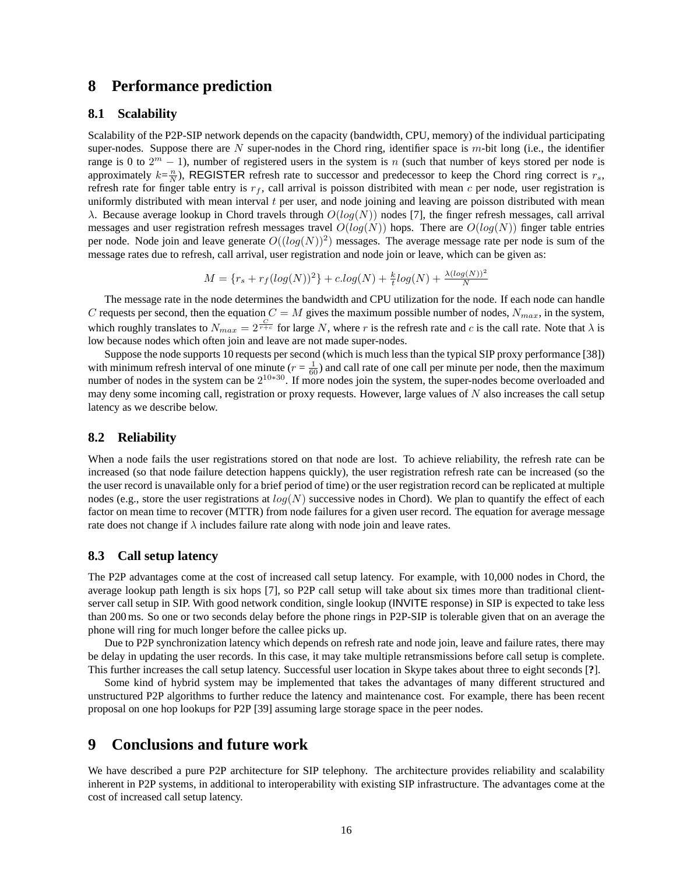## **8 Performance prediction**

#### **8.1 Scalability**

Scalability of the P2P-SIP network depends on the capacity (bandwidth, CPU, memory) of the individual participating super-nodes. Suppose there are  $N$  super-nodes in the Chord ring, identifier space is  $m$ -bit long (i.e., the identifier range is 0 to  $2^m - 1$ ), number of registered users in the system is n (such that number of keys stored per node is approximately  $k=\frac{n}{N}$ ), REGISTER refresh rate to successor and predecessor to keep the Chord ring correct is  $r_s$ ,<br>refresh rate for finger table entry is  $r_s$  call arrival is poisson distribited with mean c per node, us refresh rate for finger table entry is  $r_f$ , call arrival is poisson distribited with mean c per node, user registration is uniformly distributed with mean interval  $t$  per user, and node joining and leaving are poisson distributed with mean λ. Because average lookup in Chord travels through  $O(log(N))$  nodes [7], the finger refresh messages, call arrival messages and user registration refresh messages travel  $O(log(N))$  hops. There are  $O(log(N))$  finger table entries per node. Node join and leave generate  $O((log(N))^2)$  messages. The average message rate per node is sum of the message rates due to refresh, call arrival, user registration and node join or leave, which can be given as:

$$
M = \{r_s + r_f(log(N))^2\} + c.log(N) + \frac{k}{t}log(N) + \frac{\lambda(log(N))^2}{N}
$$

The message rate in the node determines the bandwidth and CPU utilization for the node. If each node can handle C requests per second, then the equation  $C = M$  gives the maximum possible number of nodes,  $N_{max}$ , in the system, which roughly translates to  $N_{max} = 2^{\frac{C}{r+c}}$  for large N, where r is the refresh rate and c is the call rate. Note that  $\lambda$  is low because nodes which often join and leave are not made super-nodes. low because nodes which often join and leave are not made super-nodes.

Suppose the node supports 10 requests per second (which is much less than the typical SIP proxy performance [38]) with minimum refresh interval of one minute  $(r = \frac{1}{60})$  and call rate of one call per minute per node, then the maximum<br>number of nodes in the system can be  $2^{10*30}$ . If more nodes join the system, the super-nodes beco number of nodes in the system can be  $2^{10*30}$ . If more nodes join the system, the super-nodes become overloaded and may deny some incoming call, registration or proxy requests. However, large values of  $N$  also increases the call setup latency as we describe below.

#### **8.2 Reliability**

When a node fails the user registrations stored on that node are lost. To achieve reliability, the refresh rate can be increased (so that node failure detection happens quickly), the user registration refresh rate can be increased (so the the user record is unavailable only for a brief period of time) or the user registration record can be replicated at multiple nodes (e.g., store the user registrations at  $log(N)$  successive nodes in Chord). We plan to quantify the effect of each factor on mean time to recover (MTTR) from node failures for a given user record. The equation for average message rate does not change if  $\lambda$  includes failure rate along with node join and leave rates.

#### **8.3 Call setup latency**

The P2P advantages come at the cost of increased call setup latency. For example, with 10,000 nodes in Chord, the average lookup path length is six hops [7], so P2P call setup will take about six times more than traditional clientserver call setup in SIP. With good network condition, single lookup (INVITE response) in SIP is expected to take less than 200 ms. So one or two seconds delay before the phone rings in P2P-SIP is tolerable given that on an average the phone will ring for much longer before the callee picks up.

Due to P2P synchronization latency which depends on refresh rate and node join, leave and failure rates, there may be delay in updating the user records. In this case, it may take multiple retransmissions before call setup is complete. This further increases the call setup latency. Successful user location in Skype takes about three to eight seconds [**?**].

Some kind of hybrid system may be implemented that takes the advantages of many different structured and unstructured P2P algorithms to further reduce the latency and maintenance cost. For example, there has been recent proposal on one hop lookups for P2P [39] assuming large storage space in the peer nodes.

## **9 Conclusions and future work**

We have described a pure P2P architecture for SIP telephony. The architecture provides reliability and scalability inherent in P2P systems, in additional to interoperability with existing SIP infrastructure. The advantages come at the cost of increased call setup latency.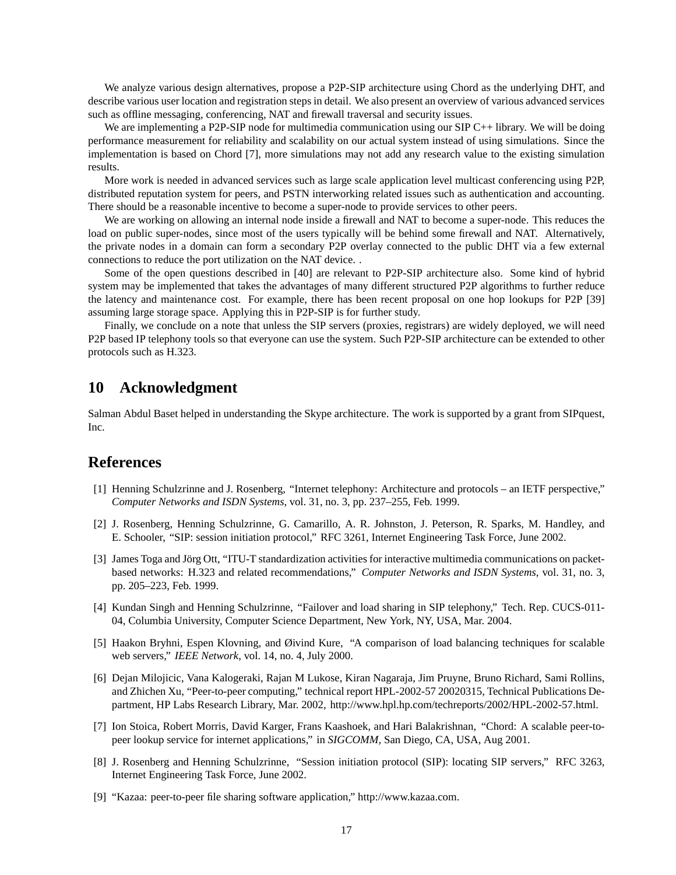We analyze various design alternatives, propose a P2P-SIP architecture using Chord as the underlying DHT, and describe various user location and registration steps in detail. We also present an overview of various advanced services such as offline messaging, conferencing, NAT and firewall traversal and security issues.

We are implementing a P2P-SIP node for multimedia communication using our SIP C++ library. We will be doing performance measurement for reliability and scalability on our actual system instead of using simulations. Since the implementation is based on Chord [7], more simulations may not add any research value to the existing simulation results.

More work is needed in advanced services such as large scale application level multicast conferencing using P2P, distributed reputation system for peers, and PSTN interworking related issues such as authentication and accounting. There should be a reasonable incentive to become a super-node to provide services to other peers.

We are working on allowing an internal node inside a firewall and NAT to become a super-node. This reduces the load on public super-nodes, since most of the users typically will be behind some firewall and NAT. Alternatively, the private nodes in a domain can form a secondary P2P overlay connected to the public DHT via a few external connections to reduce the port utilization on the NAT device. .

Some of the open questions described in [40] are relevant to P2P-SIP architecture also. Some kind of hybrid system may be implemented that takes the advantages of many different structured P2P algorithms to further reduce the latency and maintenance cost. For example, there has been recent proposal on one hop lookups for P2P [39] assuming large storage space. Applying this in P2P-SIP is for further study.

Finally, we conclude on a note that unless the SIP servers (proxies, registrars) are widely deployed, we will need P2P based IP telephony tools so that everyone can use the system. Such P2P-SIP architecture can be extended to other protocols such as H.323.

## **10 Acknowledgment**

Salman Abdul Baset helped in understanding the Skype architecture. The work is supported by a grant from SIPquest, Inc.

## **References**

- [1] Henning Schulzrinne and J. Rosenberg, "Internet telephony: Architecture and protocols an IETF perspective," *Computer Networks and ISDN Systems*, vol. 31, no. 3, pp. 237–255, Feb. 1999.
- [2] J. Rosenberg, Henning Schulzrinne, G. Camarillo, A. R. Johnston, J. Peterson, R. Sparks, M. Handley, and E. Schooler, "SIP: session initiation protocol," RFC 3261, Internet Engineering Task Force, June 2002.
- [3] James Toga and Jörg Ott, "ITU-T standardization activities for interactive multimedia communications on packetbased networks: H.323 and related recommendations," *Computer Networks and ISDN Systems*, vol. 31, no. 3, pp. 205–223, Feb. 1999.
- [4] Kundan Singh and Henning Schulzrinne, "Failover and load sharing in SIP telephony," Tech. Rep. CUCS-011- 04, Columbia University, Computer Science Department, New York, NY, USA, Mar. 2004.
- [5] Haakon Bryhni, Espen Klovning, and Øivind Kure, "A comparison of load balancing techniques for scalable web servers," *IEEE Network*, vol. 14, no. 4, July 2000.
- [6] Dejan Milojicic, Vana Kalogeraki, Rajan M Lukose, Kiran Nagaraja, Jim Pruyne, Bruno Richard, Sami Rollins, and Zhichen Xu, "Peer-to-peer computing," technical report HPL-2002-57 20020315, Technical Publications Department, HP Labs Research Library, Mar. 2002, http://www.hpl.hp.com/techreports/2002/HPL-2002-57.html.
- [7] Ion Stoica, Robert Morris, David Karger, Frans Kaashoek, and Hari Balakrishnan, "Chord: A scalable peer-topeer lookup service for internet applications," in *SIGCOMM*, San Diego, CA, USA, Aug 2001.
- [8] J. Rosenberg and Henning Schulzrinne, "Session initiation protocol (SIP): locating SIP servers," RFC 3263, Internet Engineering Task Force, June 2002.
- [9] "Kazaa: peer-to-peer file sharing software application," http://www.kazaa.com.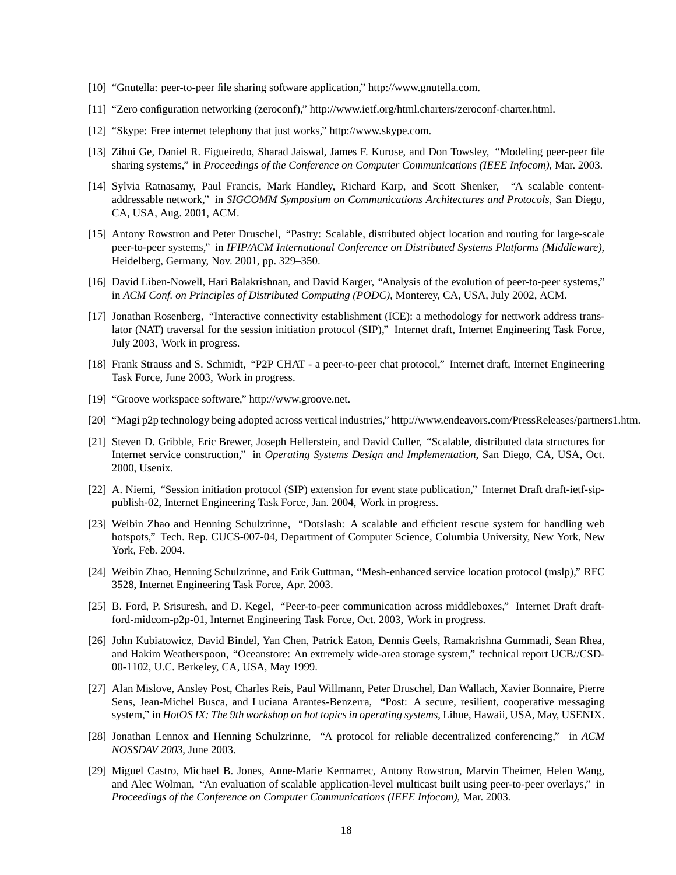- [10] "Gnutella: peer-to-peer file sharing software application," http://www.gnutella.com.
- [11] "Zero configuration networking (zeroconf)," http://www.ietf.org/html.charters/zeroconf-charter.html.
- [12] "Skype: Free internet telephony that just works," http://www.skype.com.
- [13] Zihui Ge, Daniel R. Figueiredo, Sharad Jaiswal, James F. Kurose, and Don Towsley, "Modeling peer-peer file sharing systems," in *Proceedings of the Conference on Computer Communications (IEEE Infocom)*, Mar. 2003.
- [14] Sylvia Ratnasamy, Paul Francis, Mark Handley, Richard Karp, and Scott Shenker, "A scalable contentaddressable network," in *SIGCOMM Symposium on Communications Architectures and Protocols*, San Diego, CA, USA, Aug. 2001, ACM.
- [15] Antony Rowstron and Peter Druschel, "Pastry: Scalable, distributed object location and routing for large-scale peer-to-peer systems," in *IFIP/ACM International Conference on Distributed Systems Platforms (Middleware)*, Heidelberg, Germany, Nov. 2001, pp. 329–350.
- [16] David Liben-Nowell, Hari Balakrishnan, and David Karger, "Analysis of the evolution of peer-to-peer systems," in *ACM Conf. on Principles of Distributed Computing (PODC)*, Monterey, CA, USA, July 2002, ACM.
- [17] Jonathan Rosenberg, "Interactive connectivity establishment (ICE): a methodology for nettwork address translator (NAT) traversal for the session initiation protocol (SIP)," Internet draft, Internet Engineering Task Force, July 2003, Work in progress.
- [18] Frank Strauss and S. Schmidt, "P2P CHAT a peer-to-peer chat protocol," Internet draft, Internet Engineering Task Force, June 2003, Work in progress.
- [19] "Groove workspace software," http://www.groove.net.
- [20] "Magi p2p technology being adopted across vertical industries," http://www.endeavors.com/PressReleases/partners1.htm.
- [21] Steven D. Gribble, Eric Brewer, Joseph Hellerstein, and David Culler, "Scalable, distributed data structures for Internet service construction," in *Operating Systems Design and Implementation*, San Diego, CA, USA, Oct. 2000, Usenix.
- [22] A. Niemi, "Session initiation protocol (SIP) extension for event state publication," Internet Draft draft-ietf-sippublish-02, Internet Engineering Task Force, Jan. 2004, Work in progress.
- [23] Weibin Zhao and Henning Schulzrinne, "Dotslash: A scalable and efficient rescue system for handling web hotspots," Tech. Rep. CUCS-007-04, Department of Computer Science, Columbia University, New York, New York, Feb. 2004.
- [24] Weibin Zhao, Henning Schulzrinne, and Erik Guttman, "Mesh-enhanced service location protocol (mslp)," RFC 3528, Internet Engineering Task Force, Apr. 2003.
- [25] B. Ford, P. Srisuresh, and D. Kegel, "Peer-to-peer communication across middleboxes," Internet Draft draftford-midcom-p2p-01, Internet Engineering Task Force, Oct. 2003, Work in progress.
- [26] John Kubiatowicz, David Bindel, Yan Chen, Patrick Eaton, Dennis Geels, Ramakrishna Gummadi, Sean Rhea, and Hakim Weatherspoon, "Oceanstore: An extremely wide-area storage system," technical report UCB//CSD-00-1102, U.C. Berkeley, CA, USA, May 1999.
- [27] Alan Mislove, Ansley Post, Charles Reis, Paul Willmann, Peter Druschel, Dan Wallach, Xavier Bonnaire, Pierre Sens, Jean-Michel Busca, and Luciana Arantes-Benzerra, "Post: A secure, resilient, cooperative messaging system," in *HotOS IX: The 9th workshop on hot topics in operating systems*, Lihue, Hawaii, USA, May, USENIX.
- [28] Jonathan Lennox and Henning Schulzrinne, "A protocol for reliable decentralized conferencing," in *ACM NOSSDAV 2003*, June 2003.
- [29] Miguel Castro, Michael B. Jones, Anne-Marie Kermarrec, Antony Rowstron, Marvin Theimer, Helen Wang, and Alec Wolman, "An evaluation of scalable application-level multicast built using peer-to-peer overlays," in *Proceedings of the Conference on Computer Communications (IEEE Infocom)*, Mar. 2003.